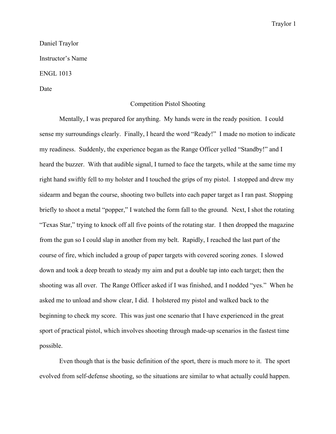#### Traylor 1

# Daniel Traylor

Instructor's Name

## ENGL 1013

## Date

## Competition Pistol Shooting

Mentally, I was prepared for anything. My hands were in the ready position. I could sense my surroundings clearly. Finally, I heard the word "Ready!" I made no motion to indicate my readiness. Suddenly, the experience began as the Range Officer yelled "Standby!" and I heard the buzzer. With that audible signal, I turned to face the targets, while at the same time my right hand swiftly fell to my holster and I touched the grips of my pistol. I stopped and drew my sidearm and began the course, shooting two bullets into each paper target as I ran past. Stopping briefly to shoot a metal "popper," I watched the form fall to the ground. Next, I shot the rotating "Texas Star," trying to knock off all five points of the rotating star. I then dropped the magazine from the gun so I could slap in another from my belt. Rapidly, I reached the last part of the course of fire, which included a group of paper targets with covered scoring zones. I slowed down and took a deep breath to steady my aim and put a double tap into each target; then the shooting was all over. The Range Officer asked if I was finished, and I nodded "yes." When he asked me to unload and show clear, I did. I holstered my pistol and walked back to the beginning to check my score. This was just one scenario that I have experienced in the great sport of practical pistol, which involves shooting through made-up scenarios in the fastest time possible.

Even though that is the basic definition of the sport, there is much more to it. The sport evolved from self-defense shooting, so the situations are similar to what actually could happen.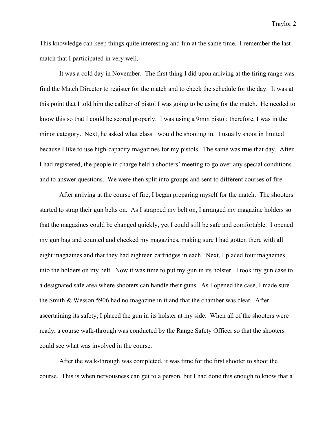Traylor 2

This knowledge can keep things quite interesting and fun at the same time. I remember the last match that I participated in very well.

It was a cold day in November. The first thing I did upon arriving at the firing range was find the Match Director to register for the match and to check the schedule for the day. It was at this point that I told him the caliber of pistol I was going to be using for the match. He needed to know this so that I could be scored properly. I was using a 9mm pistol; therefore, I was in the minor category. Next, he asked what class I would be shooting in. I usually shoot in limited because I like to use high-capacity magazines for my pistols. The same was true that day. After I had registered, the people in charge held a shooters' meeting to go over any special conditions and to answer questions. We were then split into groups and sent to different courses of fire.

After arriving at the course of fire, I began preparing myself for the match. The shooters started to strap their gun belts on. As I strapped my belt on, I arranged my magazine holders so that the magazines could be changed quickly, yet I could still be safe and comfortable. I opened my gun bag and counted and checked my magazines, making sure I had gotten there with all eight magazines and that they had eighteen cartridges in each. Next, I placed four magazines into the holders on my belt. Now it was time to put my gun in its holster. I took my gun case to a designated safe area where shooters can handle their guns. As I opened the case, I made sure the Smith & Wesson 5906 had no magazine in it and that the chamber was clear. After ascertaining its safety, I placed the gun in its holster at my side. When all of the shooters were ready, a course walk-through was conducted by the Range Safety Officer so that the shooters could see what was involved in the course.

After the walk-through was completed, it was time for the first shooter to shoot the course. This is when nervousness can get to a person, but I had done this enough to know that a